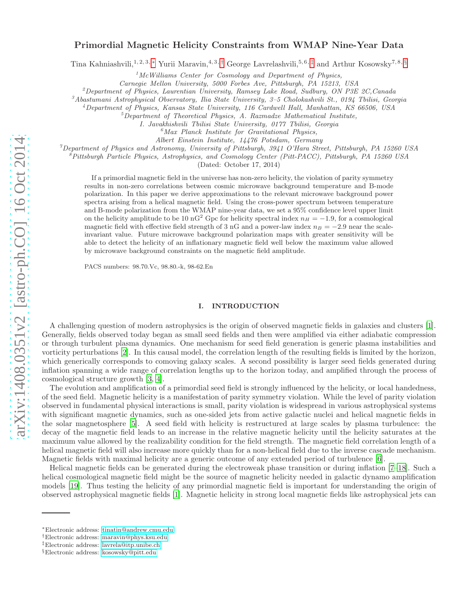# arXiv:1408.0351v2 [astro-ph.CO] 16 Oct 2014 [arXiv:1408.0351v2 \[astro-ph.CO\] 16 Oct 2014](http://arxiv.org/abs/1408.0351v2)

## Primordial Magnetic Helicity Constraints from WMAP Nine-Year Data

Tina Kahniashvili,<sup>1, 2, 3, \*</sup> Yurii Maravin,<sup>4, 3, [†](#page-0-1)</sup> George Lavrelashvili,<sup>5, 6, [‡](#page-0-2)</sup> and Arthur Kosowsky<sup>7, 8, [§](#page-0-3)</sup>

<sup>1</sup>*McWilliams Center for Cosmology and Department of Physics,*

*Carnegie Mellon University, 5000 Forbes Ave, Pittsburgh, PA 15213, USA*

<sup>2</sup>*Department of Physics, Laurentian University, Ramsey Lake Road, Sudbury, ON P3E 2C,Canada*

<sup>3</sup>*Abastumani Astrophysical Observatory, Ilia State University, 3–5 Cholokashvili St., 0194 Tbilisi, Georgia*

<sup>4</sup>*Department of Physics, Kansas State University, 116 Cardwell Hall, Manhattan, KS 66506, USA*

<sup>5</sup>*Department of Theoretical Physics, A. Razmadze Mathematical Institute,*

*I. Javakhishvili Tbilisi State University, 0177 Tbilisi, Georgia*

<sup>6</sup>*Max Planck Institute for Gravitational Physics,*

*Albert Einstein Institute, 14476 Potsdam, Germany*

<sup>7</sup>*Department of Physics and Astronomy, University of Pittsburgh, 3941 O'Hara Street, Pittsburgh, PA 15260 USA*

<sup>8</sup>*Pittsburgh Particle Physics, Astrophysics, and Cosmology Center (Pitt-PACC), Pittsburgh, PA 15260 USA*

(Dated: October 17, 2014)

If a primordial magnetic field in the universe has non-zero helicity, the violation of parity symmetry results in non-zero correlations between cosmic microwave background temperature and B-mode polarization. In this paper we derive approximations to the relevant microwave background power spectra arising from a helical magnetic field. Using the cross-power spectrum between temperature and B-mode polarization from the WMAP nine-year data, we set a 95% confidence level upper limit on the helicity amplitude to be 10 nG<sup>2</sup> Gpc for helicity spectral index  $n_H = -1.9$ , for a cosmological magnetic field with effective field strength of 3 nG and a power-law index  $n_B = -2.9$  near the scaleinvariant value. Future microwave background polarization maps with greater sensitivity will be able to detect the helicity of an inflationary magnetic field well below the maximum value allowed by microwave background constraints on the magnetic field amplitude.

PACS numbers: 98.70.Vc, 98.80.-k, 98-62.En

### I. INTRODUCTION

A challenging question of modern astrophysics is the origin of observed magnetic fields in galaxies and clusters [\[1\]](#page-8-0). Generally, fields observed today began as small seed fields and then were amplified via either adiabatic compression or through turbulent plasma dynamics. One mechanism for seed field generation is generic plasma instabilities and vorticity perturbations [\[2](#page-8-1)]. In this causal model, the correlation length of the resulting fields is limited by the horizon, which generically corresponds to comoving galaxy scales. A second possibility is larger seed fields generated during inflation spanning a wide range of correlation lengths up to the horizon today, and amplified through the process of cosmological structure growth [\[3,](#page-8-2) [4\]](#page-8-3).

The evolution and amplification of a primordial seed field is strongly influenced by the helicity, or local handedness, of the seed field. Magnetic helicity is a manifestation of parity symmetry violation. While the level of parity violation observed in fundamental physical interactions is small, parity violation is widespread in various astrophysical systems with significant magnetic dynamics, such as one-sided jets from active galactic nuclei and helical magnetic fields in the solar magnetosphere [\[5\]](#page-8-4). A seed field with helicity is restructured at large scales by plasma turbulence: the decay of the magnetic field leads to an increase in the relative magnetic helicity until the helicity saturates at the maximum value allowed by the realizability condition for the field strength. The magnetic field correlation length of a helical magnetic field will also increase more quickly than for a non-helical field due to the inverse cascade mechanism. Magnetic fields with maximal helicity are a generic outcome of any extended period of turbulence [\[6\]](#page-8-5).

Helical magnetic fields can be generated during the electroweak phase transition or during inflation [\[7](#page-8-6)[–18](#page-9-0)]. Such a helical cosmological magnetic field might be the source of magnetic helicity needed in galactic dynamo amplification models [\[19\]](#page-9-1). Thus testing the helicity of any primordial magnetic field is important for understanding the origin of observed astrophysical magnetic fields [\[1](#page-8-0)]. Magnetic helicity in strong local magnetic fields like astrophysical jets can

<span id="page-0-0"></span><sup>∗</sup>Electronic address: [tinatin@andrew.cmu.edu](mailto:tinatin@andrew.cmu.edu)

<span id="page-0-1"></span><sup>†</sup>Electronic address: [maravin@phys.ksu.edu](mailto:maravin@phys.ksu.edu)

<span id="page-0-2"></span><sup>‡</sup>Electronic address: [lavrela@itp.unibe.ch](mailto:lavrela@itp.unibe.ch)

<span id="page-0-3"></span><sup>§</sup>Electronic address: [kosowsky@pitt.edu](mailto:kosowsky@pitt.edu)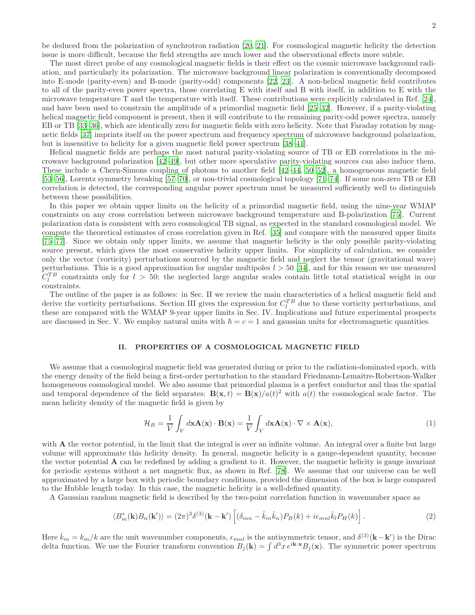be deduced from the polarization of synchrotron radiation [\[20,](#page-9-2) [21](#page-9-3)]. For cosmological magnetic helicity the detection issue is more difficult, because the field strengths are much lower and the observational effects more subtle.

The most direct probe of any cosmological magnetic fields is their effect on the cosmic microwave background radiation, and particularly its polarization. The microwave background linear polarization is conventionally decomposed into E-mode (parity-even) and B-mode (parity-odd) components [\[22,](#page-9-4) [23\]](#page-9-5). A non-helical magnetic field contributes to all of the parity-even power spectra, those correlating E with itself and B with itself, in addition to E with the microwave temperature T and the temperature with itself. These contributions were explicitly calculated in Ref. [\[24\]](#page-9-6), and have been used to constrain the amplitude of a primordial magnetic field [\[25](#page-9-7)[–32\]](#page-9-8). However, if a parity-violating helical magnetic field component is present, then it will contribute to the remaining parity-odd power spectra, namely EB or TB [\[33](#page-9-9)[–36\]](#page-9-10), which are identically zero for magnetic fields with zero helicity. Note that Faraday rotation by magnetic fields [\[37](#page-9-11)] imprints itself on the power spectrum and frequency spectrum of microwave background polarization, but is insensitive to helicity for a given magnetic field power spectrum [\[38](#page-9-12)[–41\]](#page-10-0).

Helical magnetic fields are perhaps the most natural parity-violating source of TB or EB correlations in the microwave background polarization [\[42](#page-10-1)[–49](#page-10-2)], but other more speculative parity-violating sources can also induce them. These include a Chern-Simons coupling of photons to another field [\[42](#page-10-1)[–44,](#page-10-3) [50](#page-10-4)[–52\]](#page-10-5), a homogeneous magnetic field [\[53](#page-10-6)[–56\]](#page-10-7), Lorentz symmetry breaking [\[57](#page-10-8)[–70\]](#page-10-9), or non-trivial cosmological topology [\[71](#page-10-10)[–74](#page-11-0)]. If some non-zero TB or EB correlation is detected, the corresponding angular power spectrum must be measured sufficiently well to distinguish between these possibilities.

In this paper we obtain upper limits on the helicity of a primordial magnetic field, using the nine-year WMAP constraints on any cross correlation between microwave background temperature and B-polarization [\[75\]](#page-11-1). Current polarization data is consistent with zero cosmological TB signal, as expected in the standard cosmological model. We compute the theoretical estimates of cross correlation given in Ref. [\[35\]](#page-9-13) and compare with the measured upper limits [\[75](#page-11-1)[–77\]](#page-11-2). Since we obtain only upper limits, we assume that magnetic helicity is the only possible parity-violating source present, which gives the most conservative helicity upper limits. For simplicity of calculation, we consider only the vector (vorticity) perturbations sourced by the magnetic field and neglect the tensor (gravitational wave) perturbations. This is a good approximation for angular multipoles  $l > 50$  [\[34\]](#page-9-14), and for this reason we use measured  $C_l^{TB}$  constraints only for  $l > 50$ ; the neglected large angular scales contain little total statistical weight in our constraints.

The outline of the paper is as follows: in Sec. II we review the main characteristics of a helical magnetic field and derive the vorticity perturbations. Section III gives the expression for  $C_l^{TB}$  due to these vorticity perturbations, and these are compared with the WMAP 9-year upper limits in Sec. IV. Implications and future experimental prospects are discussed in Sec. V. We employ natural units with  $\hbar = c = 1$  and gaussian units for electromagnetic quantities.

### II. PROPERTIES OF A COSMOLOGICAL MAGNETIC FIELD

We assume that a cosmological magnetic field was generated during or prior to the radiation-dominated epoch, with the energy density of the field being a first-order perturbation to the standard Friedmann-Lemaître-Robertson-Walker homogeneous cosmological model. We also assume that primordial plasma is a perfect conductor and thus the spatial and temporal dependence of the field separates:  $\mathbf{B}(\mathbf{x},t) = \mathbf{B}(\mathbf{x})/a(t)^2$  with  $a(t)$  the cosmological scale factor. The mean helicity density of the magnetic field is given by

$$
\mathcal{H}_B = \frac{1}{V} \int_V d\mathbf{x} \mathbf{A}(\mathbf{x}) \cdot \mathbf{B}(\mathbf{x}) = \frac{1}{V} \int_V d\mathbf{x} \mathbf{A}(\mathbf{x}) \cdot \nabla \times \mathbf{A}(\mathbf{x}), \tag{1}
$$

with **A** the vector potential, in the limit that the integral is over an infinite volume. An integral over a finite but large volume will approximate this helicity density. In general, magnetic helicity is a gauge-dependent quantity, because the vector potential A can be redefined by adding a gradient to it. However, the magnetic helicity is gauge invariant for periodic systems without a net magnetic flux, as shown in Ref. [\[78\]](#page-11-3). We assume that our universe can be well approximated by a large box with periodic boundary conditions, provided the dimension of the box is large compared to the Hubble length today. In this case, the magnetic helicity is a well-defined quantity.

A Gaussian random magnetic field is described by the two-point correlation function in wavenumber space as

<span id="page-1-0"></span>
$$
\langle B_m^*(\mathbf{k})B_n(\mathbf{k}')\rangle = (2\pi)^3 \delta^{(3)}(\mathbf{k} - \mathbf{k}') \left[ (\delta_{mn} - \hat{k}_m \hat{k}_n) P_B(k) + i\epsilon_{mnl} \hat{k}_l P_H(k) \right]. \tag{2}
$$

Here  $\hat{k}_m = k_m/k$  are the unit wavenumber components,  $\epsilon_{mnl}$  is the antisymmetric tensor, and  $\delta^{(3)}(\mathbf{k} - \mathbf{k}')$  is the Dirac delta function. We use the Fourier transform convention  $B_j(\mathbf{k}) = \int d^3x \, e^{i\mathbf{k} \cdot \mathbf{x}} B_j(\mathbf{x})$ . The symmetric power spectrum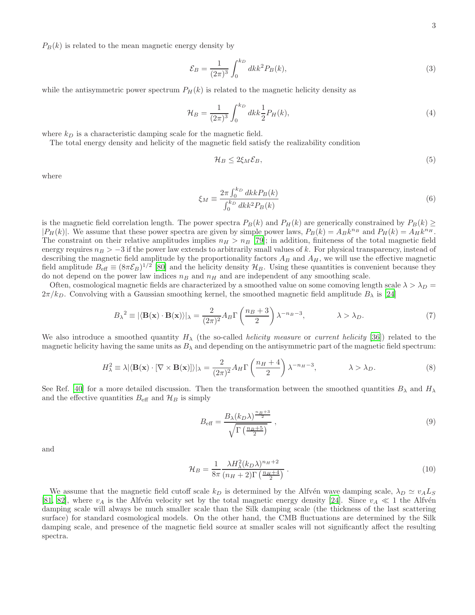$P_B(k)$  is related to the mean magnetic energy density by

$$
\mathcal{E}_B = \frac{1}{(2\pi)^3} \int_0^{k_D} dk k^2 P_B(k),\tag{3}
$$

while the antisymmetric power spectrum  $P_H(k)$  is related to the magnetic helicity density as

$$
\mathcal{H}_B = \frac{1}{(2\pi)^3} \int_0^{k_D} dk k \frac{1}{2} P_H(k),\tag{4}
$$

where  $k_D$  is a characteristic damping scale for the magnetic field.

The total energy density and helicity of the magnetic field satisfy the realizability condition

<span id="page-2-0"></span>
$$
\mathcal{H}_B \le 2\xi_M \mathcal{E}_B,\tag{5}
$$

where

$$
\xi_M \equiv \frac{2\pi \int_0^{k_D} dk k P_B(k)}{\int_0^{k_D} dk k^2 P_B(k)}\tag{6}
$$

is the magnetic field correlation length. The power spectra  $P_B(k)$  and  $P_H(k)$  are generically constrained by  $P_B(k) \ge$  $|P_H(k)|$ . We assume that these power spectra are given by simple power laws,  $P_B(k) = A_B k^{n_B}$  and  $P_H(k) = A_H k^{n_H}$ . The constraint on their relative amplitudes implies  $n_H > n_B$  [\[79\]](#page-11-4); in addition, finiteness of the total magnetic field energy requires  $n_B > -3$  if the power law extends to arbitrarily small values of k. For physical transparency, instead of describing the magnetic field amplitude by the proportionality factors  $A_B$  and  $A_H$ , we will use the effective magnetic field amplitude  $B_{\text{eff}} \equiv (8\pi \mathcal{E}_B)^{1/2}$  [\[80\]](#page-11-5) and the helicity density  $\mathcal{H}_B$ . Using these quantities is convenient because they do not depend on the power law indices  $n_B$  and  $n_H$  and are independent of any smoothing scale.

Often, cosmological magnetic fields are characterized by a smoothed value on some comoving length scale  $\lambda > \lambda_D$  $2\pi/k_D$ . Convolving with a Gaussian smoothing kernel, the smoothed magnetic field amplitude  $B_\lambda$  is [\[24\]](#page-9-6)

$$
B_{\lambda}^{2} \equiv |\langle \mathbf{B}(\mathbf{x}) \cdot \mathbf{B}(\mathbf{x}) \rangle|_{\lambda} = \frac{2}{(2\pi)^{2}} A_{B} \Gamma\left(\frac{n_{B} + 3}{2}\right) \lambda^{-n_{B} - 3}, \qquad \lambda > \lambda_{D}.
$$
 (7)

We also introduce a smoothed quantity  $H_{\lambda}$  (the so-called *helicity measure* or *current helicity* [\[36\]](#page-9-10)) related to the magnetic helicity having the same units as  $B_\lambda$  and depending on the antisymmetric part of the magnetic field spectrum:

$$
H_{\lambda}^{2} \equiv \lambda |\langle \mathbf{B}(\mathbf{x}) \cdot [\nabla \times \mathbf{B}(\mathbf{x})] \rangle|_{\lambda} = \frac{2}{(2\pi)^{2}} A_{H} \Gamma \left( \frac{n_{H} + 4}{2} \right) \lambda^{-n_{H} - 3}, \qquad \lambda > \lambda_{D}.
$$
 (8)

See Ref. [\[40](#page-9-15)] for a more detailed discussion. Then the transformation between the smoothed quantities  $B_\lambda$  and  $H_\lambda$ and the effective quantities  $B_{\text{eff}}$  and  $\mathcal{H}_B$  is simply

$$
B_{\text{eff}} = \frac{B_{\lambda}(k_D \lambda)^{\frac{n_B + 3}{2}}}{\sqrt{\Gamma(\frac{n_B + 5}{2})}} \,, \tag{9}
$$

and

$$
\mathcal{H}_B = \frac{1}{8\pi} \frac{\lambda H_\lambda^2 (k_D \lambda)^{n_H + 2}}{(n_H + 2)\Gamma \left(\frac{n_H + 4}{2}\right)}\,. \tag{10}
$$

We assume that the magnetic field cutoff scale  $k_D$  is determined by the Alfvén wave damping scale,  $\lambda_D \simeq v_A L_S$ [\[81,](#page-11-6) [82\]](#page-11-7), where  $v_A$  is the Alfvén velocity set by the total magnetic energy density [\[24\]](#page-9-6). Since  $v_A \ll 1$  the Alfvén damping scale will always be much smaller scale than the Silk damping scale (the thickness of the last scattering surface) for standard cosmological models. On the other hand, the CMB fluctuations are determined by the Silk damping scale, and presence of the magnetic field source at smaller scales will not significantly affect the resulting spectra.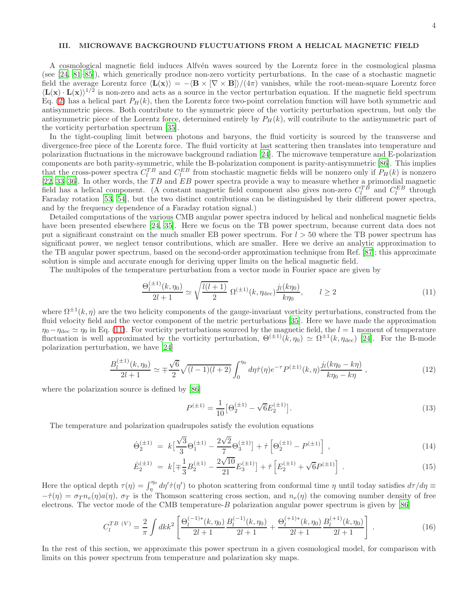### III. MICROWAVE BACKGROUND FLUCTUATIONS FROM A HELICAL MAGNETIC FIELD

A cosmological magnetic field induces Alfvén waves sourced by the Lorentz force in the cosmological plasma (see [\[24,](#page-9-6) [81](#page-11-6)[–85](#page-11-8)]), which generically produce non-zero vorticity perturbations. In the case of a stochastic magnetic field the average Lorentz force  $\langle L(x)\rangle = -\langle B \times [\nabla \times B]\rangle/(4\pi)$  vanishes, while the root-mean-square Lorentz force  $\langle L(x) \cdot L(x) \rangle^{1/2}$  is non-zero and acts as a source in the vector perturbation equation. If the magnetic field spectrum Eq. [\(2\)](#page-1-0) has a helical part  $P_H(k)$ , then the Lorentz force two-point correlation function will have both symmetric and antisymmetric pieces. Both contribute to the symmetric piece of the vorticity perturbation spectrum, but only the antisymmetric piece of the Lorentz force, determined entirely by  $P_H(k)$ , will contribute to the antisymmetric part of the vorticity perturbation spectrum [\[35\]](#page-9-13).

In the tight-coupling limit between photons and baryons, the fluid vorticity is sourced by the transverse and divergence-free piece of the Lorentz force. The fluid vorticity at last scattering then translates into temperature and polarization fluctuations in the microwave background radiation [\[24\]](#page-9-6). The microwave temperature and E-polarization components are both parity-symmetric, while the B-polarization component is parity-antisymmetric [\[86\]](#page-11-9). This implies that the cross-power spectra  $C_l^{TB}$  and  $C_l^{EB}$  from stochastic magnetic fields will be nonzero only if  $P_H(k)$  is nonzero [\[22,](#page-9-4) [33](#page-9-9)-36]. In other words, the  $TB$  and  $EB$  power spectra provide a way to measure whether a primordial magnetic field has a helical component. (A constant magnetic field component also gives non-zero  $C_l^{TB}$  and  $C_l^{EB}$  through Faraday rotation [\[53,](#page-10-6) [54](#page-10-11)], but the two distinct contributions can be distinguished by their different power spectra, and by the frequency dependence of a Faraday rotation signal.)

Detailed computations of the various CMB angular power spectra induced by helical and nonhelical magnetic fields have been presented elsewhere [\[24](#page-9-6), [35\]](#page-9-13). Here we focus on the TB power spectrum, because current data does not put a significant constraint on the much smaller EB power spectrum. For  $l > 50$  where the TB power spectrum has significant power, we neglect tensor contributions, which are smaller. Here we derive an analytic approximation to the TB angular power spectrum, based on the second-order approximation technique from Ref. [\[87](#page-11-10)]; this approximate solution is simple and accurate enough for deriving upper limits on the helical magnetic field.

The multipoles of the temperature perturbation from a vector mode in Fourier space are given by

<span id="page-3-0"></span>
$$
\frac{\Theta_l^{(\pm 1)}(k, \eta_0)}{2l+1} \simeq \sqrt{\frac{l(l+1)}{2}} \ \Omega^{(\pm 1)}(k, \eta_{\text{dec}}) \frac{j_l(k\eta_0)}{k\eta_0}, \qquad l \ge 2 \tag{11}
$$

where  $\Omega^{\pm 1}(k,\eta)$  are the two helicity components of the gauge-invariant vorticity perturbations, constructed from the fluid velocity field and the vector component of the metric perturbations [\[35](#page-9-13)]. Here we have made the approximation  $\eta_0 - \eta_{\text{dec}} \simeq \eta_0$  in Eq. [\(11\)](#page-3-0). For vorticity perturbations sourced by the magnetic field, the  $l = 1$  moment of temperature fluctuation is well approximated by the vorticity perturbation,  $\Theta^{(\pm 1)}(k, \eta_0) \simeq \Omega^{\pm 1}(k, \eta_{\text{dec}})$  [\[24\]](#page-9-6). For the B-mode polarization perturbation, we have [\[24\]](#page-9-6)

<span id="page-3-1"></span>
$$
\frac{B_l^{(\pm 1)}(k,\eta_0)}{2l+1} \simeq \mp \frac{\sqrt{6}}{2} \sqrt{(l-1)(l+2)} \int_0^{\eta_0} d\eta \dot{\tau}(\eta) e^{-\tau} P^{(\pm 1)}(k,\eta) \frac{j_l(k\eta_0 - k\eta)}{k\eta_0 - k\eta}, \qquad (12)
$$

where the polarization source is defined by [\[86\]](#page-11-9)

<span id="page-3-2"></span>
$$
P^{(\pm 1)} = \frac{1}{10} \left[ \Theta_2^{(\pm 1)} - \sqrt{6} E_2^{(\pm 1)} \right]. \tag{13}
$$

The temperature and polarization quadrupoles satisfy the evolution equations

<span id="page-3-3"></span>
$$
\dot{\Theta}_2^{(\pm 1)} = k \left[ \frac{\sqrt{3}}{3} \Theta_1^{(\pm 1)} - \frac{2\sqrt{2}}{7} \Theta_3^{(\pm 1)} \right] + \dot{\tau} \left[ \Theta_2^{(\pm 1)} - P^{(\pm 1)} \right] , \qquad (14)
$$

$$
\dot{E}_2^{(\pm 1)} = k \left[ \mp \frac{1}{3} B_2^{(\pm 1)} - \frac{2\sqrt{10}}{21} E_3^{(\pm 1)} \right] + \dot{\tau} \left[ E_2^{(\pm 1)} + \sqrt{6} P^{(\pm 1)} \right] . \tag{15}
$$

Here the optical depth  $\tau(\eta) = \int_{\eta}^{\eta_0} d\eta' \dot{\tau}(\eta')$  to photon scattering from conformal time  $\eta$  until today satisfies  $d\tau/d\eta \equiv$  $-\dot{\tau}(\eta) = \sigma_T n_e(\eta) a(\eta)$ ,  $\sigma_T$  is the Thomson scattering cross section, and  $n_e(\eta)$  the comoving number density of free electrons. The vector mode of the CMB temperature- $B$  polarization angular power spectrum is given by [\[86\]](#page-11-9)

$$
C_l^{TB\ (V)} = \frac{2}{\pi} \int dk k^2 \left[ \frac{\Theta_l^{(-1)*}(k, \eta_0)}{2l+1} \frac{B_l^{(-1)}(k, \eta_0)}{2l+1} + \frac{\Theta_l^{(+1)*}(k, \eta_0)}{2l+1} \frac{B_l^{(+1)}(k, \eta_0)}{2l+1} \right] \ . \tag{16}
$$

In the rest of this section, we approximate this power spectrum in a given cosmological model, for comparison with limits on this power spectrum from temperature and polarization sky maps.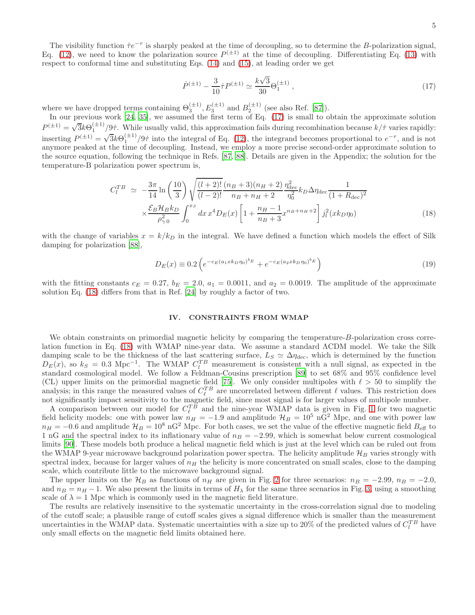The visibility function  $\dot{\tau}e^{-\tau}$  is sharply peaked at the time of decoupling, so to determine the B-polarization signal, Eq. [\(12\)](#page-3-1), we need to know the polarization source  $P^{(\pm 1)}$  at the time of decoupling. Differentiating Eq. [\(13\)](#page-3-2) with respect to conformal time and substituting Eqs. [\(14\)](#page-3-3) and [\(15\)](#page-3-3), at leading order we get

<span id="page-4-0"></span>
$$
\dot{P}^{(\pm 1)} - \frac{3}{10}\dot{\tau}P^{(\pm 1)} \simeq \frac{k\sqrt{3}}{30}\Theta_1^{(\pm 1)}\,,\tag{17}
$$

where we have dropped terms containing  $\Theta_3^{(\pm 1)}$ ,  $E_3^{(\pm 1)}$  and  $B_2^{(\pm 1)}$  (see also Ref. [\[87](#page-11-10)]).

In our previous work [\[24,](#page-9-6) [35](#page-9-13)], we assumed the first term of Eq. [\(17\)](#page-4-0) is small to obtain the approximate solution  $P^{(\pm 1)} = \sqrt{3k\Theta_1^{(\pm 1)}}/9\tau$ . While usually valid, this approximation fails during recombination because  $k/\tau$  varies rapidly: inserting  $P^{(\pm 1)} = \sqrt{3k\Theta_1^{(\pm 1)}}/9\tau$  into the integral of Eq. [\(12\)](#page-3-1), the integrand becomes proportional to  $e^{-\tau}$ , and is not anymore peaked at the time of decoupling. Instead, we employ a more precise second-order approximate solution to the source equation, following the technique in Refs. [\[87,](#page-11-10) [88\]](#page-11-11). Details are given in the Appendix; the solution for the temperature-B polarization power spectrum is,

<span id="page-4-1"></span>
$$
C_{l}^{TB} \simeq -\frac{3\pi}{14} \ln\left(\frac{10}{3}\right) \sqrt{\frac{(l+2)!}{(l-2)!}} \frac{(n_B+3)(n_H+2)}{n_B+n_H+2} \frac{\eta_{\text{dec}}^2}{\eta_0^2} k_D \Delta \eta_{\text{dec}} \frac{1}{(1+R_{\text{dec}})^2} \times \frac{\mathcal{E}_B \mathcal{H}_B k_D}{\rho_{\gamma 0}^2} \int_0^{x_S} dx \, x^4 D_E(x) \left[1 + \frac{n_H-1}{n_B+3} x^{n_B+n_H+2}\right] j_l^2(x k_D \eta_0)
$$
\n(18)

with the change of variables  $x = k/k_D$  in the integral. We have defined a function which models the effect of Silk damping for polarization [\[88](#page-11-11)],

<span id="page-4-2"></span>
$$
D_E(x) \equiv 0.2 \left( e^{-c_E (a_1 x k_D \eta_0)^{b_E}} + e^{-c_E (a_2 x k_D \eta_0)^{b_E}} \right)
$$
\n(19)

with the fitting constants  $c_E = 0.27$ ,  $b_E = 2.0$ ,  $a_1 = 0.0011$ , and  $a_2 = 0.0019$ . The amplitude of the approximate solution Eq. [\(18\)](#page-4-1) differs from that in Ref. [\[24\]](#page-9-6) by roughly a factor of two.

### IV. CONSTRAINTS FROM WMAP

We obtain constraints on primordial magnetic helicity by comparing the temperature-B-polarization cross correlation function in Eq. [\(18\)](#page-4-1) with WMAP nine-year data. We assume a standard ΛCDM model. We take the Silk damping scale to be the thickness of the last scattering surface,  $L_S \simeq \Delta \eta_{\text{dec}}$ , which is determined by the function  $D_E(x)$ , so  $k_S = 0.3 \text{ Mpc}^{-1}$ . The WMAP  $C_l^{TB}$  measurement is consistent with a null signal, as expected in the standard cosmological model. We follow a Feldman-Cousins prescription [\[89](#page-11-12)] to set 68% and 95% confidence level (CL) upper limits on the primordial magnetic field [\[75\]](#page-11-1). We only consider multipoles with  $\ell > 50$  to simplify the analysis; in this range the measured values of  $C_{\ell}^{TB}$  are uncorrelated between different  $\ell$  values. This restriction does analysis, in this range the measured values of  $C_{\ell}$  are uncorrelated between different  $\ell$  values. This restriction does not significantly impact sensitivity to the magnetic field, since most signal is for larger valu

A comparison between our model for  $C_{\ell}^{TB}$  and the nine-year WMAP data is given in Fig. [1](#page-5-0) for two magnetic field helicity models: one with power law  $n_H = -1.9$  and amplitude  $\mathcal{H}_B = 10^5$  nG<sup>2</sup> Mpc, and one with power law  $n_H = -0.6$  and amplitude  $\mathcal{H}_B = 10^8 \text{ nG}^2$  Mpc. For both cases, we set the value of the effective magnetic field  $B_{\text{eff}}$  to 1 nG and the spectral index to its inflationary value of  $n_B = -2.99$ , which is somewhat below current cosmological limits [\[90](#page-11-13)]. These models both produce a helical magnetic field which is just at the level which can be ruled out from the WMAP 9-year microwave background polarization power spectra. The helicity amplitude  $\mathcal{H}_B$  varies strongly with spectral index, because for larger values of  $n_H$  the helicity is more concentrated on small scales, close to the damping scale, which contribute little to the microwave background signal.

The upper limits on the  $\mathcal{H}_B$  as functions of  $n_H$  are given in Fig. [2](#page-5-1) for three scenarios:  $n_B = -2.99$ ,  $n_B = -2.0$ , and  $n_B = n_H - 1$ . We also present the limits in terms of  $H_\lambda$  for the same three scenarios in Fig. [3,](#page-6-0) using a smoothing scale of  $\lambda = 1$  Mpc which is commonly used in the magnetic field literature.

The results are relatively insensitive to the systematic uncertainty in the cross-correlation signal due to modeling of the cutoff scale; a plausible range of cutoff scales gives a signal difference which is smaller than the measurement uncertainties in the WMAP data. Systematic uncertainties with a size up to 20% of the predicted values of  $C_l^{TB}$  have only small effects on the magnetic field limits obtained here.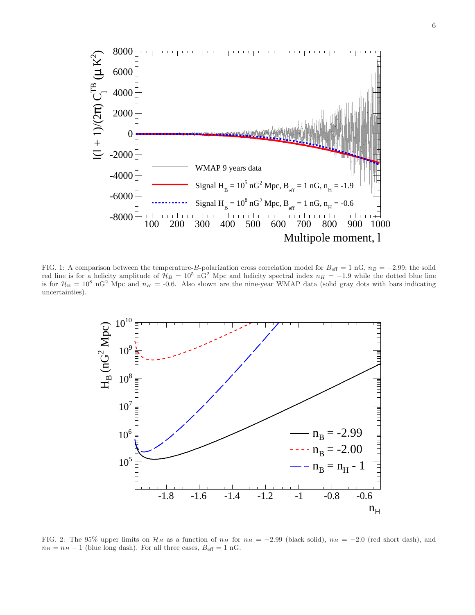

<span id="page-5-0"></span>FIG. 1: A comparison between the temperature-B-polarization cross correlation model for  $B_{\text{eff}} = 1 \text{ nG}, n_B = -2.99$ ; the solid red line is for a helicity amplitude of  $\mathcal{H}_B = 10^5 \text{ nG}^2$  Mpc and helicity spectral index  $n_H = -1.9$  while the dotted blue line is for  $\mathcal{H}_B = 10^8$  nG<sup>2</sup> Mpc and  $n_H = -0.6$ . Also shown are the nine-year WMAP data (solid gray dots with bars indicating uncertainties).



<span id="page-5-1"></span>FIG. 2: The 95% upper limits on  $\mathcal{H}_B$  as a function of  $n_H$  for  $n_B = -2.99$  (black solid),  $n_B = -2.0$  (red short dash), and  $n_B = n_H - 1$  (blue long dash). For all three cases,  $B_{\text{eff}} = 1 \text{ nG}$ .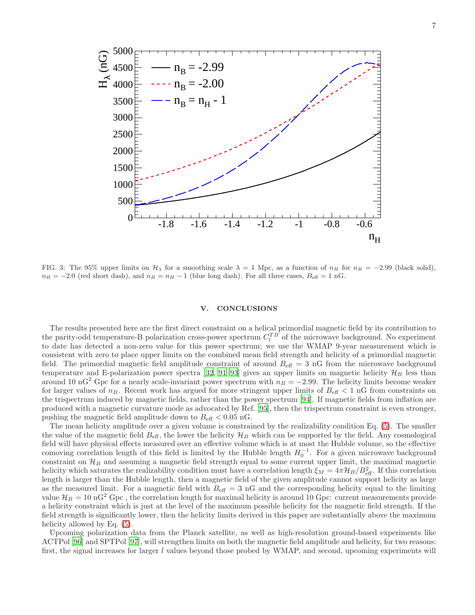

<span id="page-6-0"></span>FIG. 3: The 95% upper limits on  $\mathcal{H}_{\lambda}$  for a smoothing scale  $\lambda = 1$  Mpc, as a function of  $n_H$  for  $n_B = -2.99$  (black solid),  $n_B = -2.0$  (red short dash), and  $n_B = n_H - 1$  (blue long dash). For all three cases,  $B_{\text{eff}} = 1$  nG.

### V. CONCLUSIONS

The results presented here are the first direct constraint on a helical primordial magnetic field by its contribution to the parity-odd temperature-B polarization cross-power spectrum  $C_l^{TB}$  of the microwave background. No experiment to date has detected a non-zero value for this power spectrum; we use the WMAP 9-year measurement which is consistent with zero to place upper limits on the combined mean field strength and helicity of a primordial magnetic field. The primordial magnetic field amplitude constraint of around  $B_{\text{eff}} = 3 \text{ nG}$  from the microwave background temperature and E-polarization power spectra [\[32](#page-9-8), [91](#page-11-14)[–93\]](#page-11-15) gives an upper limits on magnetic helicity  $\mathcal{H}_B$  less than around 10 nG<sup>2</sup> Gpc for a nearly scale-invariant power spectrum with  $n_B = -2.99$ . The helicity limits become weaker for larger values of  $n_B$ . Recent work has argued for more stringent upper limits of  $B_{\text{eff}} < 1 \text{ nG}$  from constraints on the trispectrum induced by magnetic fields, rather than the power spectrum [\[94\]](#page-11-16). If magnetic fields from inflation are produced with a magnetic curvature mode as advocated by Ref. [\[95\]](#page-11-17), then the trispectrum constraint is even stronger, pushing the magnetic field amplitude down to  $B_{\text{eff}} < 0.05$  nG.

The mean helicity amplitude over a given volume is constrained by the realizability condition Eq. [\(5\)](#page-2-0). The smaller the value of the magnetic field  $B_{\text{eff}}$ , the lower the helicity  $\mathcal{H}_B$  which can be supported by the field. Any cosmological field will have physical effects measured over an effective volume which is at most the Hubble volume, so the effective comoving correlation length of this field is limited by the Hubble length  $H_0^{-1}$ . For a given microwave background constraint on  $\mathcal{H}_B$  and assuming a magnetic field strength equal to some current upper limit, the maximal magnetic helicity which saturates the realizability condition must have a correlation length  $\xi_M = 4\pi \mathcal{H}_B/B_{\text{eff}}^2$ . If this correlation length is larger than the Hubble length, then a magnetic field of the given amplitude cannot support helicity as large as the measured limit. For a magnetic field with  $B_{\text{eff}} = 3 \text{ nG}$  and the corresponding helicity equal to the limiting value  $\mathcal{H}_B = 10 \text{ nG}^2 \text{ Gpc}$ , the correlation length for maximal helicity is around 10 Gpc: current measurements provide a helicity constraint which is just at the level of the maximum possible helicity for the magnetic field strength. If the field strength is significantly lower, then the helicity limits derived in this paper are substantially above the maximum helicity allowed by Eq.  $(5)$ .

Upcoming polarization data from the Planck satellite, as well as high-resolution ground-based experiments like ACTPol [\[96](#page-11-18)] and SPTPol [\[97\]](#page-11-19), will strengthen limits on both the magnetic field amplitude and helicity, for two reasons: first, the signal increases for larger l values beyond those probed by WMAP, and second, upcoming experiments will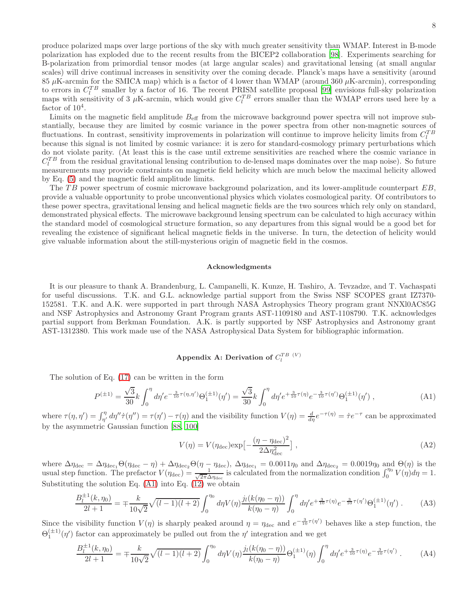produce polarized maps over large portions of the sky with much greater sensitivity than WMAP. Interest in B-mode polarization has exploded due to the recent results from the BICEP2 collaboration [\[98\]](#page-11-20). Experiments searching for B-polarization from primordial tensor modes (at large angular scales) and gravitational lensing (at small angular scales) will drive continual increases in sensitivity over the coming decade. Planck's maps have a sensitivity (around  $85 \mu$ K-arcmin for the SMICA map) which is a factor of 4 lower than WMAP (around 360  $\mu$ K-arcmin), corresponding to errors in  $C_l^{TB}$  smaller by a factor of 16. The recent PRISM satellite proposal [\[99\]](#page-11-21) envisions full-sky polarization maps with sensitivity of 3  $\mu$ K-arcmin, which would give  $C_l^{TB}$  errors smaller than the WMAP errors used here by a factor of  $10^4$ .

Limits on the magnetic field amplitude  $B_{\text{eff}}$  from the microwave background power spectra will not improve substantially, because they are limited by cosmic variance in the power spectra from other non-magnetic sources of fluctuations. In contrast, sensitivity improvements in polarization will continue to improve helicity limits from  $C_l^{TB}$ because this signal is not limited by cosmic variance: it is zero for standard-cosmology primary perturbations which do not violate parity. (At least this is the case until extreme sensitivities are reached where the cosmic variance in  $C_l^{TB}$  from the residual gravitational lensing contribution to de-lensed maps dominates over the map noise). So future measurements may provide constraints on magnetic field helicity which are much below the maximal helicity allowed by Eq. [\(5\)](#page-2-0) and the magnetic field amplitude limits.

The TB power spectrum of cosmic microwave background polarization, and its lower-amplitude counterpart EB, provide a valuable opportunity to probe unconventional physics which violates cosmological parity. Of contributors to these power spectra, gravitational lensing and helical magnetic fields are the two sources which rely only on standard, demonstrated physical effects. The microwave background lensing spectrum can be calculated to high accuracy within the standard model of cosmological structure formation, so any departures from this signal would be a good bet for revealing the existence of significant helical magnetic fields in the universe. In turn, the detection of helicity would give valuable information about the still-mysterious origin of magnetic field in the cosmos.

### Acknowledgments

It is our pleasure to thank A. Brandenburg, L. Campanelli, K. Kunze, H. Tashiro, A. Tevzadze, and T. Vachaspati for useful discussions. T.K. and G.L. acknowledge partial support from the Swiss NSF SCOPES grant IZ7370- 152581. T.K. and A.K. were supported in part through NASA Astrophysics Theory program grant NNXl0AC85G and NSF Astrophysics and Astronomy Grant Program grants AST-1109180 and AST-1108790. T.K. acknowledges partial support from Berkman Foundation. A.K. is partly supported by NSF Astrophysics and Astronomy grant AST-1312380. This work made use of the NASA Astrophysical Data System for bibliographic information.

# Appendix A: Derivation of  $C_l^{TB~(V)}$

The solution of Eq. [\(17\)](#page-4-0) can be written in the form

<span id="page-7-0"></span>
$$
P^{(\pm 1)} = \frac{\sqrt{3}}{30} k \int_0^{\eta} d\eta' e^{-\frac{3}{10}\tau(\eta, \eta')} \Theta_1^{(\pm 1)}(\eta') = \frac{\sqrt{3}}{30} k \int_0^{\eta} d\eta' e^{+\frac{3}{10}\tau(\eta)} e^{-\frac{3}{10}\tau(\eta')} \Theta_1^{(\pm 1)}(\eta') , \qquad (A1)
$$

where  $\tau(\eta, \eta') = \int_{\eta'}^{\eta} d\eta'' \dot{\tau}(\eta'') = \tau(\eta') - \tau(\eta)$  and the visibility function  $V(\eta) = \frac{d}{d\eta} e^{-\tau(\eta)} = \dot{\tau} e^{-\tau}$  can be approximated by the asymmetric Gaussian function [\[88](#page-11-11), [100](#page-11-22)]

$$
V(\eta) = V(\eta_{\text{dec}}) \exp\left[-\frac{(\eta - \eta_{\text{dec}})^2}{2\Delta\eta_{\text{dec}}^2}\right],\tag{A2}
$$

where  $\Delta \eta_{\text{dec}} = \Delta \eta_{\text{dec}_1} \Theta(\eta_{\text{dec}} - \eta) + \Delta \eta_{\text{dec}_2} \Theta(\eta - \eta_{\text{dec}}), \ \Delta \eta_{\text{dec}_1} = 0.0011 \eta_0$  and  $\Delta \eta_{\text{dec}_2} = 0.0019 \eta_0$  and  $\Theta(\eta)$  is the usual step function. The prefactor  $V(\eta_{\text{dec}}) = \frac{1}{\sqrt{2\pi}\Lambda}$  $\frac{1}{2\pi\Delta\eta_{\text{dec}}}\right|$  is calculated from the normalization condition  $\int_0^{\eta_0} V(\eta)d\eta = 1$ . Substituting the solution Eq.  $(A1)$  into Eq.  $(12)$  we obtain

$$
\frac{B_l^{\pm 1}(k,\eta_0)}{2l+1} = \mp \frac{k}{10\sqrt{2}} \sqrt{(l-1)(l+2)} \int_0^{\eta_0} d\eta V(\eta) \frac{j_l(k(\eta_0 - \eta))}{k(\eta_0 - \eta)} \int_0^{\eta} d\eta' e^{+\frac{3}{10}\tau(\eta)} e^{-\frac{3}{10}\tau(\eta')} \Theta_1^{(\pm 1)}(\eta') . \tag{A3}
$$

Since the visibility function  $V(\eta)$  is sharply peaked around  $\eta = \eta_{\text{dec}}$  and  $e^{-\frac{3}{10}\tau(\eta')}$  behaves like a step function, the  $\Theta_1^{(\pm 1)}(\eta')$  factor can approximately be pulled out from the  $\eta'$  integration and we get

$$
\frac{B_l^{\pm 1}(k,\eta_0)}{2l+1} = \mp \frac{k}{10\sqrt{2}} \sqrt{(l-1)(l+2)} \int_0^{\eta_0} d\eta V(\eta) \frac{j_l(k(\eta_0 - \eta))}{k(\eta_0 - \eta)} \Theta_1^{(\pm 1)}(\eta) \int_0^{\eta} d\eta' e^{+\frac{3}{10}\tau(\eta)} e^{-\frac{3}{10}\tau(\eta')} \,. \tag{A4}
$$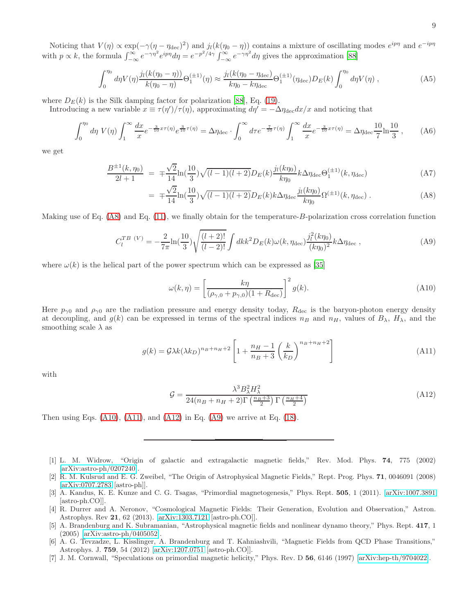Noticing that  $V(\eta) \propto \exp(-\gamma(\eta - \eta_{\text{dec}})^2)$  and  $j_l(k(\eta_0 - \eta))$  contains a mixture of oscillating modes  $e^{ip\eta}$  and  $e^{-ip\eta}$ with  $p \propto k$ , the formula  $\int_{-\infty}^{\infty} e^{-\gamma \eta^2} e^{ip\eta} d\eta = e^{-p^2/4\gamma} \int_{-\infty}^{\infty} e^{-\gamma \eta^2} d\eta$  gives the approximation [\[88](#page-11-11)]

$$
\int_0^{\eta_0} d\eta V(\eta) \frac{j_l(k(\eta_0 - \eta))}{k(\eta_0 - \eta)} \Theta_1^{(\pm 1)}(\eta) \approx \frac{j_l(k(\eta_0 - \eta_{\text{dec}})}{k\eta_0 - k\eta_{\text{dec}}}) \Theta_1^{(\pm 1)}(\eta_{\text{dec}}) D_E(k) \int_0^{\eta_0} d\eta V(\eta) , \qquad (A5)
$$

where  $D_E(k)$  is the Silk damping factor for polarization [\[88\]](#page-11-11), Eq. [\(19\)](#page-4-2).

Introducing a new variable  $x \equiv \tau(\eta')/\tau(\eta)$ , approximating  $d\eta' = -\Delta \eta_{\text{dec}} dx/x$  and noticing that

$$
\int_0^{\eta_0} d\eta \ V(\eta) \int_1^\infty \frac{dx}{x} e^{-\frac{3}{10}x\tau(\eta)} e^{\frac{3}{10}\tau(\eta)} = \Delta \eta_{\text{dec}} \cdot \int_0^\infty d\tau e^{-\frac{7}{10}\tau(\eta)} \int_1^\infty \frac{dx}{x} e^{-\frac{3}{10}x\tau(\eta)} = \Delta \eta_{\text{dec}} \frac{10}{7} \ln \frac{10}{3},\tag{A6}
$$

we get

<span id="page-8-7"></span>
$$
\frac{B^{\pm 1}(k,\eta_0)}{2l+1} = \pm \frac{\sqrt{2}}{14} \ln(\frac{10}{3}) \sqrt{(l-1)(l+2)} D_E(k) \frac{j_l(k\eta_0)}{k\eta_0} k \Delta \eta_{\text{dec}} \Theta_1^{(\pm 1)}(k, \eta_{\text{dec}}) \tag{A7}
$$

$$
= \mp \frac{\sqrt{2}}{14} \ln(\frac{10}{3}) \sqrt{(l-1)(l+2)} D_E(k) k \Delta \eta_{\text{dec}} \frac{j_l(k\eta_0)}{k\eta_0} \Omega^{(\pm 1)}(k, \eta_{\text{dec}}) . \tag{A8}
$$

Making use of Eq.  $(A8)$  and Eq.  $(11)$ , we finally obtain for the temperature-B-polarization cross correlation function

<span id="page-8-11"></span>
$$
C_l^{TB\ (V)} = -\frac{2}{7\pi} \ln(\frac{10}{3}) \sqrt{\frac{(l+2)!}{(l-2)!}} \int dk k^2 D_E(k) \omega(k, \eta_{\text{dec}}) \frac{j_l^2(k\eta_0)}{(k\eta_0)^2} k \Delta \eta_{\text{dec}} ,\tag{A9}
$$

where  $\omega(k)$  is the helical part of the power spectrum which can be expressed as [\[35\]](#page-9-13)

<span id="page-8-8"></span>
$$
\omega(k,\eta) = \left[\frac{k\eta}{(\rho_{\gamma,0} + p_{\gamma,0})(1 + R_{\text{dec}})}\right]^2 g(k).
$$
\n(A10)

Here  $p_{\gamma 0}$  and  $\rho_{\gamma 0}$  are the radiation pressure and energy density today,  $R_{\text{dec}}$  is the baryon-photon energy density at decoupling, and  $g(k)$  can be expressed in terms of the spectral indices  $n_B$  and  $n_H$ , values of  $B_\lambda$ ,  $H_\lambda$ , and the smoothing scale  $\lambda$  as

<span id="page-8-9"></span>
$$
g(k) = \mathcal{G}\lambda k(\lambda k_D)^{n_B + n_H + 2} \left[ 1 + \frac{n_H - 1}{n_B + 3} \left( \frac{k}{k_D} \right)^{n_B + n_H + 2} \right]
$$
(A11)

with

<span id="page-8-10"></span>
$$
\mathcal{G} = \frac{\lambda^3 B_{\lambda}^2 H_{\lambda}^2}{24(n_B + n_H + 2)\Gamma\left(\frac{n_B + 3}{2}\right)\Gamma\left(\frac{n_H + 4}{2}\right)}\tag{A12}
$$

Then using Eqs.  $(A10)$ ,  $(A11)$ , and  $(A12)$  in Eq.  $(A9)$  we arrive at Eq.  $(18)$ .

- <span id="page-8-0"></span>[1] L. M. Widrow, "Origin of galactic and extragalactic magnetic fields," Rev. Mod. Phys. 74, 775 (2002) [\[arXiv:astro-ph/0207240\]](http://arxiv.org/abs/astro-ph/0207240).
- <span id="page-8-1"></span>[2] R. M. Kulsrud and E. G. Zweibel, "The Origin of Astrophysical Magnetic Fields," Rept. Prog. Phys. 71, 0046091 (2008) [\[arXiv:0707.2783](http://arxiv.org/abs/0707.2783) [astro-ph]].
- <span id="page-8-2"></span>[3] A. Kandus, K. E. Kunze and C. G. Tsagas, "Primordial magnetogenesis," Phys. Rept. 505, 1 (2011). [\[arXiv:1007.3891](http://arxiv.org/abs/1007.3891) [astro-ph.CO]].
- <span id="page-8-3"></span>[4] R. Durrer and A. Neronov, "Cosmological Magnetic Fields: Their Generation, Evolution and Observation," Astron. Astrophys. Rev 21, 62 (2013). [\[arXiv:1303.7121](http://arxiv.org/abs/1303.7121) [astro-ph.CO]].
- <span id="page-8-4"></span>[5] A. Brandenburg and K. Subramanian, "Astrophysical magnetic fields and nonlinear dynamo theory," Phys. Rept. 417, 1 (2005) [\[arXiv:astro-ph/0405052\]](http://arxiv.org/abs/astro-ph/0405052).
- <span id="page-8-5"></span>[6] A. G. Tevzadze, L. Kisslinger, A. Brandenburg and T. Kahniashvili, "Magnetic Fields from QCD Phase Transitions," Astrophys. J. 759, 54 (2012) [\[arXiv:1207.0751](http://arxiv.org/abs/1207.0751) [astro-ph.CO]].
- <span id="page-8-6"></span>[7] J. M. Cornwall, "Speculations on primordial magnetic helicity," Phys. Rev. D 56, 6146 (1997) [\[arXiv:hep-th/9704022\]](http://arxiv.org/abs/hep-th/9704022).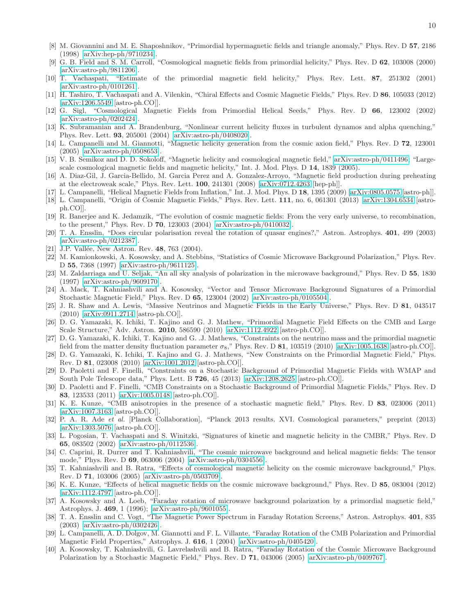- [8] M. Giovannini and M. E. Shaposhnikov, "Primordial hypermagnetic fields and triangle anomaly," Phys. Rev. D 57, 2186 (1998) [\[arXiv:hep-ph/9710234\]](http://arxiv.org/abs/hep-ph/9710234).
- [9] G. B. Field and S. M. Carroll, "Cosmological magnetic fields from primordial helicity," Phys. Rev. D 62, 103008 (2000) [\[arXiv:astro-ph/9811206\]](http://arxiv.org/abs/astro-ph/9811206).
- [10] T. Vachaspati, "Estimate of the primordial magnetic field helicity," Phys. Rev. Lett. 87, 251302 (2001) [\[arXiv:astro-ph/0101261\]](http://arxiv.org/abs/astro-ph/0101261).
- [11] H. Tashiro, T. Vachaspati and A. Vilenkin, "Chiral Effects and Cosmic Magnetic Fields," Phys. Rev. D 86, 105033 (2012) [\[arXiv:1206.5549](http://arxiv.org/abs/1206.5549) [astro-ph.CO]].
- [12] G. Sigl, "Cosmological Magnetic Fields from Primordial Helical Seeds," Phys. Rev. D 66, 123002 (2002) [\[arXiv:astro-ph/0202424\]](http://arxiv.org/abs/astro-ph/0202424).
- [13] K. Subramanian and A. Brandenburg, "Nonlinear current helicity fluxes in turbulent dynamos and alpha quenching," Phys. Rev. Lett. 93, 205001 (2004) [\[arXiv:astro-ph/0408020\]](http://arxiv.org/abs/astro-ph/0408020).
- [14] L. Campanelli and M. Giannotti, "Magnetic helicity generation from the cosmic axion field," Phys. Rev. D 72, 123001 (2005) [\[arXiv:astro-ph/0508653\]](http://arxiv.org/abs/astro-ph/0508653).
- [15] V. B. Semikoz and D. D. Sokoloff, "Magnetic helicity and cosmological magnetic field," [arXiv:astro-ph/0411496;](http://arxiv.org/abs/astro-ph/0411496) "Largescale cosmological magnetic fields and magnetic helicity," Int. J. Mod. Phys. D 14, 1839 (2005).
- [16] A. Diaz-Gil, J. Garcia-Bellido, M. Garcia Perez and A. Gonzalez-Arroyo, "Magnetic field production during preheating at the electroweak scale," Phys. Rev. Lett. 100, 241301 (2008) [\[arXiv:0712.4263](http://arxiv.org/abs/0712.4263) [hep-ph]].
- [17] L. Campanelli, "Helical Magnetic Fields from Inflation," Int. J. Mod. Phys. D 18, 1395 (2009) [\[arXiv:0805.0575](http://arxiv.org/abs/0805.0575) [astro-ph]].
- <span id="page-9-0"></span>[18] L. Campanelli, "Origin of Cosmic Magnetic Fields," Phys. Rev. Lett. 111, no. 6, 061301 (2013) [\[arXiv:1304.6534](http://arxiv.org/abs/1304.6534) [astroph.CO]].
- <span id="page-9-1"></span>[19] R. Banerjee and K. Jedamzik, "The evolution of cosmic magnetic fields: From the very early universe, to recombination, to the present," Phys. Rev. D **70**, 123003 (2004)  $arXiv:astro-ph/0410032$ .
- <span id="page-9-2"></span>[20] T. A. Ensslin, "Does circular polarisation reveal the rotation of quasar engines?," Astron. Astrophys. 401, 499 (2003) [\[arXiv:astro-ph/0212387\]](http://arxiv.org/abs/astro-ph/0212387).
- <span id="page-9-3"></span>[21] J.P. Vallée, New Astron. Rev. 48, 763 (2004).
- <span id="page-9-4"></span>[22] M. Kamionkowski, A. Kosowsky, and A. Stebbins, "Statistics of Cosmic Microwave Background Polarization," Phys. Rev. D 55, 7368 (1997) [\[arXiv:astro-ph/9611125\]](http://arxiv.org/abs/astro-ph/9611125).
- <span id="page-9-5"></span>[23] M. Zaldarriaga and U. Seljak, "An all sky analysis of polarization in the microwave background," Phys. Rev. D 55, 1830 (1997) [\[arXiv:astro-ph/9609170\]](http://arxiv.org/abs/astro-ph/9609170).
- <span id="page-9-6"></span>[24] A. Mack, T. Kahniashvili and A. Kosowsky, "Vector and Tensor Microwave Background Signatures of a Primordial Stochastic Magnetic Field," Phys. Rev. D 65, 123004 (2002) [\[arXiv:astro-ph/0105504\]](http://arxiv.org/abs/astro-ph/0105504).
- <span id="page-9-7"></span>[25] J. R. Shaw and A. Lewis, "Massive Neutrinos and Magnetic Fields in the Early Universe," Phys. Rev. D 81, 043517 (2010) [\[arXiv:0911.2714](http://arxiv.org/abs/0911.2714) [astro-ph.CO]].
- [26] D. G. Yamazaki, K. Ichiki, T. Kajino and G. J. Mathew, "Primordial Magnetic Field Effects on the CMB and Large Scale Structure," Adv. Astron. 2010, 586590 (2010) [\[arXiv:1112.4922](http://arxiv.org/abs/1112.4922) [astro-ph.CO]].
- [27] D. G. Yamazaki, K. Ichiki, T. Kajino and G. .J. Mathews, "Constraints on the neutrino mass and the primordial magnetic field from the matter density fluctuation parameter  $\sigma_8$ ," Phys. Rev. D 81, 103519 (2010) [\[arXiv:1005.1638](http://arxiv.org/abs/1005.1638) [astro-ph.CO]].
- [28] D. G. Yamazaki, K. Ichiki, T. Kajino and G. J. Mathews, "New Constraints on the Primordial Magnetic Field," Phys. Rev. D 81, 023008 (2010) [\[arXiv:1001.2012](http://arxiv.org/abs/1001.2012) [astro-ph.CO]].
- [29] D. Paoletti and F. Finelli, "Constraints on a Stochastic Background of Primordial Magnetic Fields with WMAP and South Pole Telescope data," Phys. Lett. B **726**, 45 (2013) [\[arXiv:1208.2625](http://arxiv.org/abs/1208.2625) [astro-ph.CO]].
- [30] D. Paoletti and F. Finelli, "CMB Constraints on a Stochastic Background of Primordial Magnetic Fields," Phys. Rev. D 83, 123533 (2011) [\[arXiv:1005.0148](http://arxiv.org/abs/1005.0148) [astro-ph.CO]].
- [31] K. E. Kunze, "CMB anisotropies in the presence of a stochastic magnetic field," Phys. Rev. D 83, 023006 (2011) [\[arXiv:1007.3163](http://arxiv.org/abs/1007.3163) [astro-ph.CO]].
- <span id="page-9-8"></span>[32] P. A. R. Ade *et al.* [Planck Collaboration], "Planck 2013 results. XVI. Cosmological parameters," preprint (2013) [\[arXiv:1303.5076](http://arxiv.org/abs/1303.5076) [astro-ph.CO]].
- <span id="page-9-9"></span>[33] L. Pogosian, T. Vachaspati and S. Winitzki, "Signatures of kinetic and magnetic helicity in the CMBR," Phys. Rev. D 65, 083502 (2002) [\[arXiv:astro-ph/0112536\]](http://arxiv.org/abs/astro-ph/0112536).
- <span id="page-9-14"></span>[34] C. Caprini, R. Durrer and T. Kahniashvili, "The cosmic microwave background and helical magnetic fields: The tensor mode," Phys. Rev. D 69, 063006 (2004) [\[arXiv:astro-ph/0304556\]](http://arxiv.org/abs/astro-ph/0304556).
- <span id="page-9-13"></span>[35] T. Kahniashvili and B. Ratra, "Effects of cosmological magnetic helicity on the cosmic microwave background," Phys. Rev. D 71, 103006 (2005) [\[arXiv:astro-ph/0503709\]](http://arxiv.org/abs/astro-ph/0503709).
- <span id="page-9-10"></span>[36] K. E. Kunze, "Effects of helical magnetic fields on the cosmic microwave background," Phys. Rev. D 85, 083004 (2012) [\[arXiv:1112.4797](http://arxiv.org/abs/1112.4797) [astro-ph.CO]].
- <span id="page-9-11"></span>[37] A. Kosowsky and A. Loeb, "Faraday rotation of microwave background polarization by a primordial magnetic field," Astrophys. J. 469, 1 (1996); [\[arXiv:astro-ph/9601055\]](http://arxiv.org/abs/astro-ph/9601055).
- <span id="page-9-12"></span>[38] T. A. Ensslin and C. Vogt, "The Magnetic Power Spectrum in Faraday Rotation Screens," Astron. Astrophys. 401, 835 (2003) [\[arXiv:astro-ph/0302426\]](http://arxiv.org/abs/astro-ph/0302426).
- [39] L. Campanelli, A. D. Dolgov, M. Giannotti and F. L. Villante, "Faraday Rotation of the CMB Polarization and Primordial Magnetic Field Properties," Astrophys. J. 616, 1 (2004) [\[arXiv:astro-ph/0405420\]](http://arxiv.org/abs/astro-ph/0405420).
- <span id="page-9-15"></span>[40] A. Kosowsky, T. Kahniashvili, G. Lavrelashvili and B. Ratra, "Faraday Rotation of the Cosmic Microwave Background Polarization by a Stochastic Magnetic Field," Phys. Rev. D 71, 043006 (2005) [\[arXiv:astro-ph/0409767\]](http://arxiv.org/abs/astro-ph/0409767).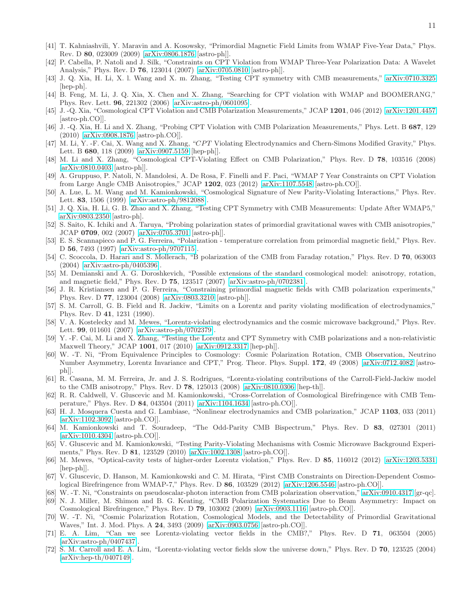- <span id="page-10-0"></span>[41] T. Kahniashvili, Y. Maravin and A. Kosowsky, "Primordial Magnetic Field Limits from WMAP Five-Year Data," Phys. Rev. D 80, 023009 (2009) [\[arXiv:0806.1876](http://arxiv.org/abs/0806.1876) [astro-ph]].
- <span id="page-10-1"></span>[42] P. Cabella, P. Natoli and J. Silk, "Constraints on CPT Violation from WMAP Three-Year Polarization Data: A Wavelet Analysis," Phys. Rev. D 76, 123014 (2007) [\[arXiv:0705.0810](http://arxiv.org/abs/0705.0810) [astro-ph]].
- [43] J. Q. Xia, H. Li, X. l. Wang and X. m. Zhang, "Testing CPT symmetry with CMB measurements," [arXiv:0710.3325](http://arxiv.org/abs/0710.3325) [hep-ph].
- <span id="page-10-3"></span>[44] B. Feng, M. Li, J. Q. Xia, X. Chen and X. Zhang, "Searching for CPT violation with WMAP and BOOMERANG," Phys. Rev. Lett. 96, 221302 (2006) [\[arXiv:astro-ph/0601095\]](http://arxiv.org/abs/astro-ph/0601095).
- [45] J. -Q. Xia, "Cosmological CPT Violation and CMB Polarization Measurements," JCAP 1201, 046 (2012) [\[arXiv:1201.4457](http://arxiv.org/abs/1201.4457) [astro-ph.CO]].
- [46] J. -Q. Xia, H. Li and X. Zhang, "Probing CPT Violation with CMB Polarization Measurements," Phys. Lett. B 687, 129 (2010) [\[arXiv:0908.1876](http://arxiv.org/abs/0908.1876) [astro-ph.CO]].
- [47] M. Li, Y. -F. Cai, X. Wang and X. Zhang, "CPT Violating Electrodynamics and Chern-Simons Modified Gravity," Phys. Lett. B 680, 118 (2009) [\[arXiv:0907.5159](http://arxiv.org/abs/0907.5159) [hep-ph]].
- [48] M. Li and X. Zhang, "Cosmological CPT-Violating Effect on CMB Polarization," Phys. Rev. D 78, 103516 (2008) [\[arXiv:0810.0403](http://arxiv.org/abs/0810.0403) [astro-ph]].
- <span id="page-10-2"></span>[49] A. Gruppuso, P. Natoli, N. Mandolesi, A. De Rosa, F. Finelli and F. Paci, "WMAP 7 Year Constraints on CPT Violation from Large Angle CMB Anisotropies," JCAP 1202, 023 (2012) [\[arXiv:1107.5548](http://arxiv.org/abs/1107.5548) [astro-ph.CO]].
- <span id="page-10-4"></span>[50] A. Lue, L. M. Wang and M. Kamionkowski, "Cosmological Signature of New Parity-Violating Interactions," Phys. Rev. Lett. 83, 1506 (1999) [\[arXiv:astro-ph/9812088\]](http://arxiv.org/abs/astro-ph/9812088).
- [51] J. Q. Xia, H. Li, G. B. Zhao and X. Zhang, "Testing CPT Symmetry with CMB Measurements: Update After WMAP5," [arXiv:0803.2350](http://arxiv.org/abs/0803.2350) [astro-ph].
- <span id="page-10-5"></span>[52] S. Saito, K. Ichiki and A. Taruya, "Probing polarization states of primordial gravitational waves with CMB anisotropies," JCAP 0709, 002 (2007) [\[arXiv:0705.3701](http://arxiv.org/abs/0705.3701) [astro-ph]].
- <span id="page-10-6"></span>[53] E. S. Scannapieco and P. G. Ferreira, "Polarization - temperature correlation from primordial magnetic field," Phys. Rev. D 56, 7493 (1997) [\[arXiv:astro-ph/9707115\]](http://arxiv.org/abs/astro-ph/9707115).
- <span id="page-10-11"></span>[54] C. Scoccola, D. Harari and S. Mollerach, "B polarization of the CMB from Faraday rotation," Phys. Rev. D 70, 063003 (2004) [\[arXiv:astro-ph/0405396\]](http://arxiv.org/abs/astro-ph/0405396).
- [55] M. Demianski and A. G. Doroshkevich, "Possible extensions of the standard cosmological model: anisotropy, rotation, and magnetic field," Phys. Rev. D 75, 123517 (2007) [\[arXiv:astro-ph/0702381\]](http://arxiv.org/abs/astro-ph/0702381).
- <span id="page-10-7"></span>[56] J. R. Kristiansen and P. G. Ferreira, "Constraining primordial magnetic fields with CMB polarization experiments," Phys. Rev. D 77, 123004 (2008) [\[arXiv:0803.3210](http://arxiv.org/abs/0803.3210) [astro-ph]].
- <span id="page-10-8"></span>[57] S. M. Carroll, G. B. Field and R. Jackiw, "Limits on a Lorentz and parity violating modification of electrodynamics," Phys. Rev. D 41, 1231 (1990).
- [58] V. A. Kostelecky and M. Mewes, "Lorentz-violating electrodynamics and the cosmic microwave background," Phys. Rev. Lett. 99, 011601 (2007) [\[arXiv:astro-ph/0702379\]](http://arxiv.org/abs/astro-ph/0702379).
- [59] Y. -F. Cai, M. Li and X. Zhang, "Testing the Lorentz and CPT Symmetry with CMB polarizations and a non-relativistic Maxwell Theory," JCAP 1001, 017 (2010) [\[arXiv:0912.3317](http://arxiv.org/abs/0912.3317) [hep-ph]].
- [60] W. -T. Ni, "From Equivalence Principles to Cosmology: Cosmic Polarization Rotation, CMB Observation, Neutrino Number Asymmetry, Lorentz Invariance and CPT," Prog. Theor. Phys. Suppl. 172, 49 (2008) [\[arXiv:0712.4082](http://arxiv.org/abs/0712.4082) [astroph]].
- [61] R. Casana, M. M. Ferreira, Jr. and J. S. Rodrigues, "Lorentz-violating contributions of the Carroll-Field-Jackiw model to the CMB anisotropy," Phys. Rev. D 78, 125013 (2008) [\[arXiv:0810.0306](http://arxiv.org/abs/0810.0306) [hep-th]].
- [62] R. R. Caldwell, V. Gluscevic and M. Kamionkowski, "Cross-Correlation of Cosmological Birefringence with CMB Temperature," Phys. Rev. D 84, 043504 (2011) [\[arXiv:1104.1634](http://arxiv.org/abs/1104.1634) [astro-ph.CO]].
- [63] H. J. Mosquera Cuesta and G. Lambiase, "Nonlinear electrodynamics and CMB polarization," JCAP 1103, 033 (2011) [\[arXiv:1102.3092](http://arxiv.org/abs/1102.3092) [astro-ph.CO]].
- [64] M. Kamionkowski and T. Souradeep, "The Odd-Parity CMB Bispectrum," Phys. Rev. D 83, 027301 (2011) [\[arXiv:1010.4304](http://arxiv.org/abs/1010.4304) [astro-ph.CO]].
- [65] V. Gluscevic and M. Kamionkowski, "Testing Parity-Violating Mechanisms with Cosmic Microwave Background Experiments," Phys. Rev. D 81, 123529 (2010) [\[arXiv:1002.1308](http://arxiv.org/abs/1002.1308) [astro-ph.CO]].
- [66] M. Mewes, "Optical-cavity tests of higher-order Lorentz violation," Phys. Rev. D 85, 116012 (2012) [\[arXiv:1203.5331](http://arxiv.org/abs/1203.5331) [hep-ph]].
- [67] V. Gluscevic, D. Hanson, M. Kamionkowski and C. M. Hirata, "First CMB Constraints on Direction-Dependent Cosmological Birefringence from WMAP-7," Phys. Rev. D 86, 103529 (2012) [\[arXiv:1206.5546](http://arxiv.org/abs/1206.5546) [astro-ph.CO]].
- [68] W. -T. Ni, "Constraints on pseudoscalar-photon interaction from CMB polarization observation," [arXiv:0910.4317](http://arxiv.org/abs/0910.4317) [gr-qc].
- [69] N. J. Miller, M. Shimon and B. G. Keating, "CMB Polarization Systematics Due to Beam Asymmetry: Impact on Cosmological Birefringence," Phys. Rev. D 79, 103002 (2009) [\[arXiv:0903.1116](http://arxiv.org/abs/0903.1116) [astro-ph.CO]].
- <span id="page-10-9"></span>[70] W. -T. Ni, "Cosmic Polarization Rotation, Cosmological Models, and the Detectability of Primordial Gravitational Waves," Int. J. Mod. Phys. A 24, 3493 (2009) [\[arXiv:0903.0756](http://arxiv.org/abs/0903.0756) [astro-ph.CO]].
- <span id="page-10-10"></span>[71] E. A. Lim, "Can we see Lorentz-violating vector fields in the CMB?," Phys. Rev. D 71, 063504 (2005) [\[arXiv:astro-ph/0407437\]](http://arxiv.org/abs/astro-ph/0407437).
- [72] S. M. Carroll and E. A. Lim, "Lorentz-violating vector fields slow the universe down," Phys. Rev. D 70, 123525 (2004) [\[arXiv:hep-th/0407149\]](http://arxiv.org/abs/hep-th/0407149).